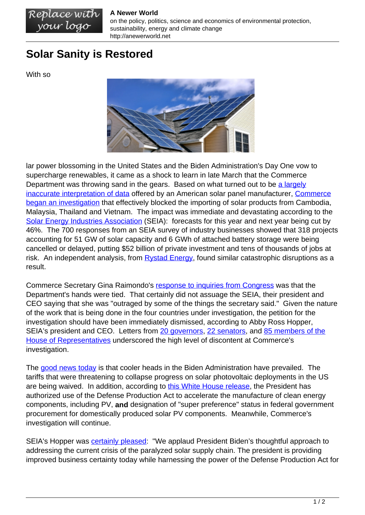## **A Newer World**

on the policy, politics, science and economics of environmental protection, sustainability, energy and climate change http://anewerworld.net

## **Solar Sanity is Restored**

Replace with<br>your logo

With so



lar power blossoming in the United States and the Biden Administration's Day One vow to supercharge renewables, it came as a shock to learn in late March that the Commerce Department was throwing sand in the gears. Based on what turned out to be [a largely](https://www.canarymedia.com/articles/solar/bnef-says-auxin-misinterpreted-its-research-in-calling-for-solar-tariffs) [inaccurate interpretation of data](https://www.canarymedia.com/articles/solar/bnef-says-auxin-misinterpreted-its-research-in-calling-for-solar-tariffs) offered by an American solar panel manufacturer, [Commerce](https://www.seia.org/news/commerce-department-decision-imperils-us-clean-energy-progress) [began an investigation](https://www.seia.org/news/commerce-department-decision-imperils-us-clean-energy-progress) that effectively blocked the importing of solar products from Cambodia, Malaysia, Thailand and Vietnam. The impact was immediate and devastating according to the [Solar Energy Industries Association](https://www.seia.org/news/tariff-case-cuts-solar-deployment-forecasts-nearly-half-100000-jobs-risk) (SEIA): forecasts for this year and next year being cut by 46%. The 700 responses from an SEIA survey of industry businesses showed that 318 projects accounting for 51 GW of solar capacity and 6 GWh of attached battery storage were being cancelled or delayed, putting \$52 billion of private investment and tens of thousands of jobs at risk. An independent analysis, from [Rystad Energy,](https://www.rystadenergy.com/newsevents/news/press-releases/us-probe-into-solar-imports-threatens-almost-two-thirds-of-planned-capacity-additions-in-2022/) found similar catastrophic disruptions as a result.

Commerce Secretary Gina Raimondo's [response to inquiries from Congress](https://www.eenews.net/articles/biden-admin-defends-solar-probe-spurs-industry-outrage/) was that the Department's hands were tied. That certainly did not assuage the SEIA, their president and CEO saying that she was "outraged by some of the things the secretary said." Given the nature of the work that is being done in the four countries under investigation, the petition for the investigation should have been immediately dismissed, according to Abby Ross Hopper, SEIA's president and CEO. Letters from [20 governors](https://seia.org/news/governors-implore-swift-end-solar-tariff-case-state-impacts-worsen), [22 senators,](https://www.rosen.senate.gov/rosen-leads-bipartisan-letter-president-biden-urging-administration-expedite-solar-tariff) and [85 members of the](https://seia.org/news/eighty-five-house-members-oppose-commerce-departments-solar-tariff-investigation) [House of Representatives](https://seia.org/news/eighty-five-house-members-oppose-commerce-departments-solar-tariff-investigation) underscored the high level of discontent at Commerce's investigation.

The [good news today](https://electrek.co/2022/06/06/biden-solar-tariffs-waiver/) is that cooler heads in the Biden Administration have prevailed. The tariffs that were threatening to collapse progress on solar photovoltaic deployments in the US are being waived. In addition, according to [this White House release](https://www.whitehouse.gov/briefing-room/statements-releases/2022/06/06/fact-sheet-president-biden-takes-bold-executive-action-to-spur-domestic-clean-energy-manufacturing/), the President has authorized use of the Defense Production Act to accelerate the manufacture of clean energy components, including PV, **and** designation of "super preference" status in federal government procurement for domestically produced solar PV components. Meanwhile, Commerce's investigation will continue.

SEIA's Hopper was **[certainly pleased:](https://www.seia.org/news/president-bidens-action-saves-solar-jobs-invests-american-solar-manufacturing)** "We applaud President Biden's thoughtful approach to addressing the current crisis of the paralyzed solar supply chain. The president is providing improved business certainty today while harnessing the power of the Defense Production Act for